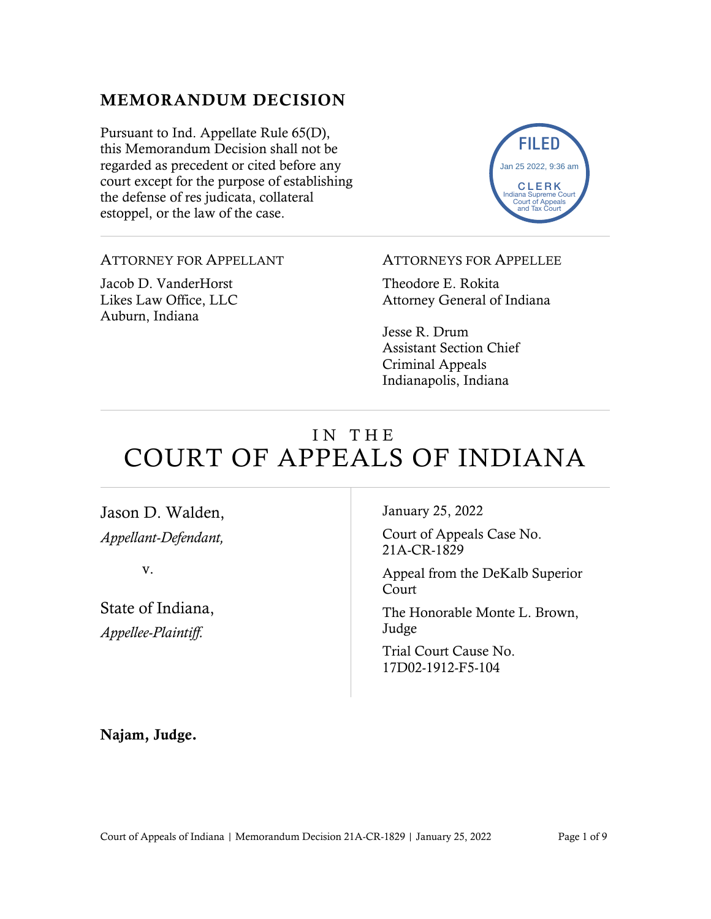### MEMORANDUM DECISION

Pursuant to Ind. Appellate Rule 65(D), this Memorandum Decision shall not be regarded as precedent or cited before any court except for the purpose of establishing the defense of res judicata, collateral estoppel, or the law of the case.



ATTORNEY FOR APPELLANT

Jacob D. VanderHorst Likes Law Office, LLC Auburn, Indiana

#### ATTORNEYS FOR APPELLEE

Theodore E. Rokita Attorney General of Indiana

Jesse R. Drum Assistant Section Chief Criminal Appeals Indianapolis, Indiana

# IN THE COURT OF APPEALS OF INDIANA

Jason D. Walden, *Appellant-Defendant,*

v.

State of Indiana, *Appellee-Plaintiff.*

January 25, 2022

Court of Appeals Case No. 21A-CR-1829

Appeal from the DeKalb Superior Court

The Honorable Monte L. Brown, Judge

Trial Court Cause No. 17D02-1912-F5-104

Najam, Judge.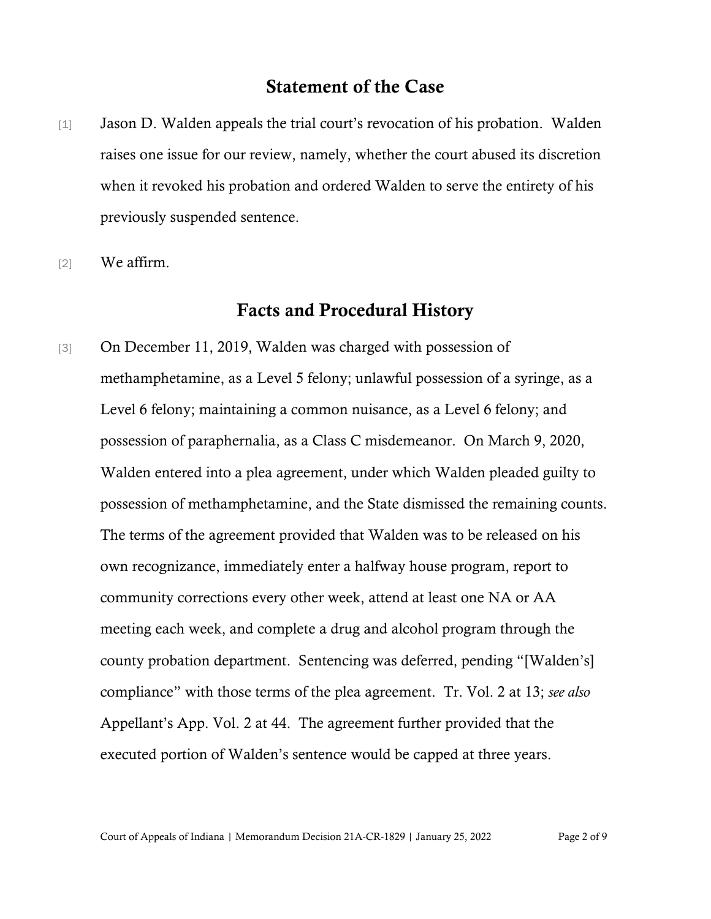## Statement of the Case

- [1] Jason D. Walden appeals the trial court's revocation of his probation. Walden raises one issue for our review, namely, whether the court abused its discretion when it revoked his probation and ordered Walden to serve the entirety of his previously suspended sentence.
- [2] We affirm.

#### Facts and Procedural History

[3] On December 11, 2019, Walden was charged with possession of methamphetamine, as a Level 5 felony; unlawful possession of a syringe, as a Level 6 felony; maintaining a common nuisance, as a Level 6 felony; and possession of paraphernalia, as a Class C misdemeanor. On March 9, 2020, Walden entered into a plea agreement, under which Walden pleaded guilty to possession of methamphetamine, and the State dismissed the remaining counts. The terms of the agreement provided that Walden was to be released on his own recognizance, immediately enter a halfway house program, report to community corrections every other week, attend at least one NA or AA meeting each week, and complete a drug and alcohol program through the county probation department. Sentencing was deferred, pending "[Walden's] compliance" with those terms of the plea agreement. Tr. Vol. 2 at 13; *see also* Appellant's App. Vol. 2 at 44. The agreement further provided that the executed portion of Walden's sentence would be capped at three years.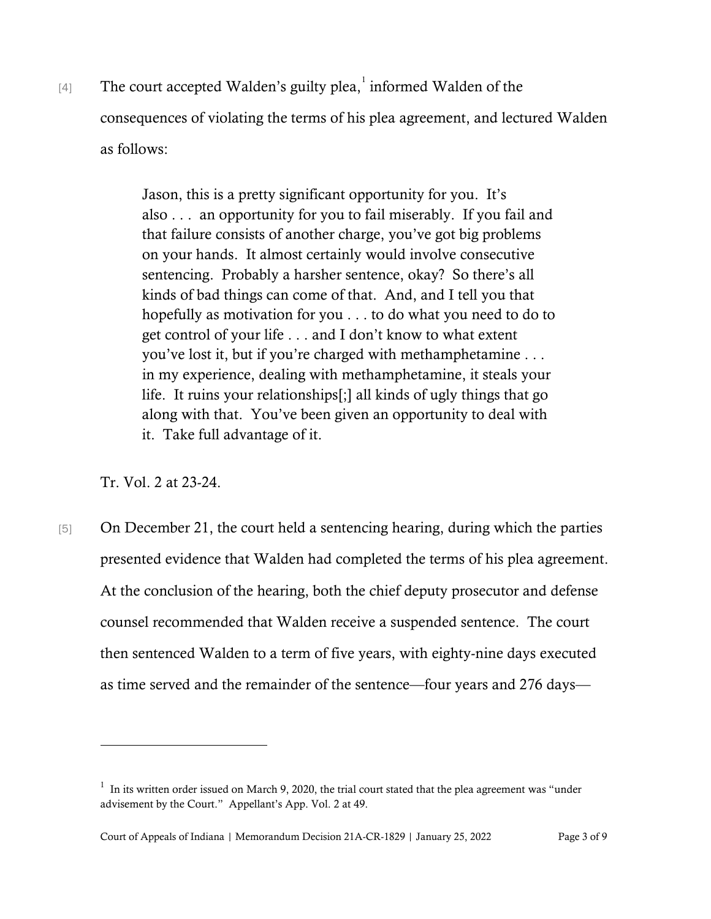[4] The court accepted Walden's guilty plea,  $\frac{1}{1}$  $\frac{1}{1}$  $\frac{1}{1}$  informed Walden of the consequences of violating the terms of his plea agreement, and lectured Walden as follows:

> Jason, this is a pretty significant opportunity for you. It's also . . . an opportunity for you to fail miserably. If you fail and that failure consists of another charge, you've got big problems on your hands. It almost certainly would involve consecutive sentencing. Probably a harsher sentence, okay? So there's all kinds of bad things can come of that. And, and I tell you that hopefully as motivation for you . . . to do what you need to do to get control of your life . . . and I don't know to what extent you've lost it, but if you're charged with methamphetamine . . . in my experience, dealing with methamphetamine, it steals your life. It ruins your relationships[;] all kinds of ugly things that go along with that. You've been given an opportunity to deal with it. Take full advantage of it.

Tr. Vol. 2 at 23-24.

[5] On December 21, the court held a sentencing hearing, during which the parties presented evidence that Walden had completed the terms of his plea agreement. At the conclusion of the hearing, both the chief deputy prosecutor and defense counsel recommended that Walden receive a suspended sentence. The court then sentenced Walden to a term of five years, with eighty-nine days executed as time served and the remainder of the sentence—four years and 276 days—

<span id="page-2-0"></span> $1$  In its written order issued on March 9, 2020, the trial court stated that the plea agreement was "under advisement by the Court." Appellant's App. Vol. 2 at 49.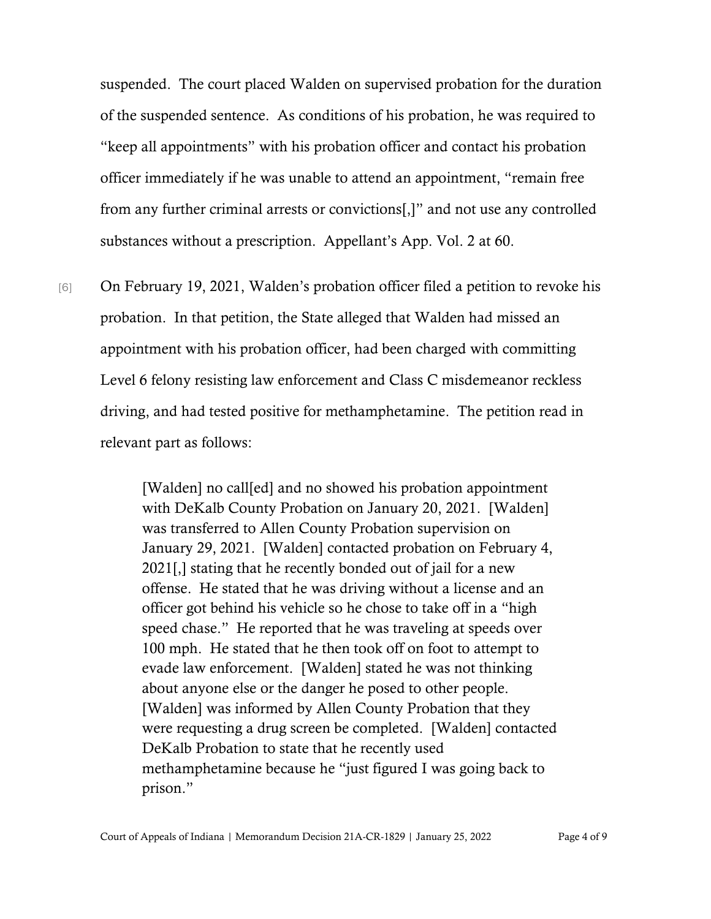suspended. The court placed Walden on supervised probation for the duration of the suspended sentence. As conditions of his probation, he was required to "keep all appointments" with his probation officer and contact his probation officer immediately if he was unable to attend an appointment, "remain free from any further criminal arrests or convictions[,]" and not use any controlled substances without a prescription. Appellant's App. Vol. 2 at 60.

[6] On February 19, 2021, Walden's probation officer filed a petition to revoke his probation. In that petition, the State alleged that Walden had missed an appointment with his probation officer, had been charged with committing Level 6 felony resisting law enforcement and Class C misdemeanor reckless driving, and had tested positive for methamphetamine. The petition read in relevant part as follows:

> [Walden] no call[ed] and no showed his probation appointment with DeKalb County Probation on January 20, 2021. [Walden] was transferred to Allen County Probation supervision on January 29, 2021. [Walden] contacted probation on February 4, 2021[,] stating that he recently bonded out of jail for a new offense. He stated that he was driving without a license and an officer got behind his vehicle so he chose to take off in a "high speed chase." He reported that he was traveling at speeds over 100 mph. He stated that he then took off on foot to attempt to evade law enforcement. [Walden] stated he was not thinking about anyone else or the danger he posed to other people. [Walden] was informed by Allen County Probation that they were requesting a drug screen be completed. [Walden] contacted DeKalb Probation to state that he recently used methamphetamine because he "just figured I was going back to prison."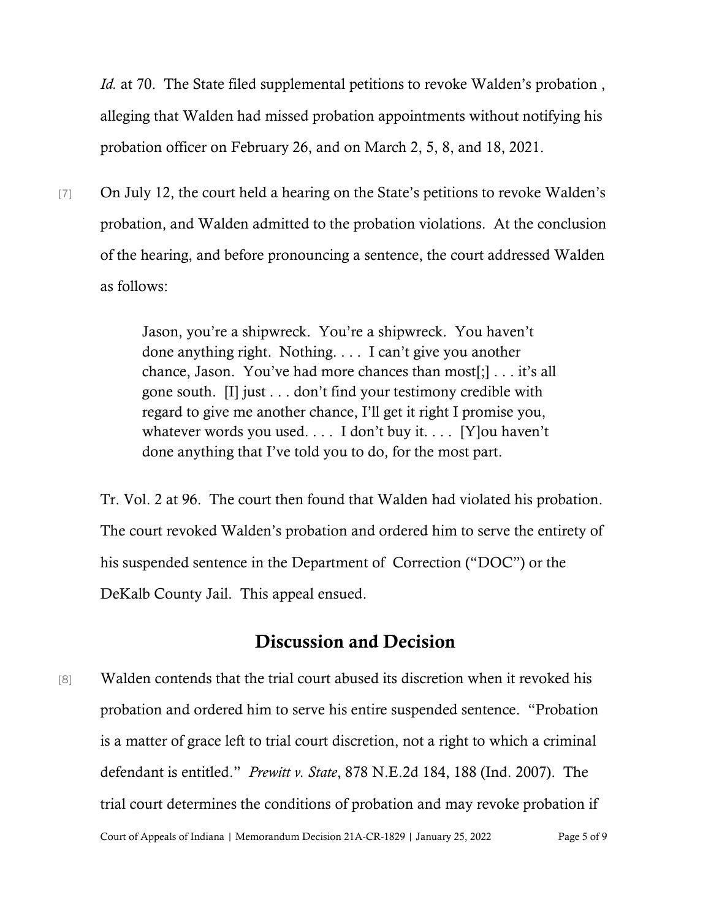*Id.* at 70. The State filed supplemental petitions to revoke Walden's probation, alleging that Walden had missed probation appointments without notifying his probation officer on February 26, and on March 2, 5, 8, and 18, 2021.

[7] On July 12, the court held a hearing on the State's petitions to revoke Walden's probation, and Walden admitted to the probation violations. At the conclusion of the hearing, and before pronouncing a sentence, the court addressed Walden as follows:

> Jason, you're a shipwreck. You're a shipwreck. You haven't done anything right. Nothing. . . . I can't give you another chance, Jason. You've had more chances than most[;] . . . it's all gone south. [I] just . . . don't find your testimony credible with regard to give me another chance, I'll get it right I promise you, whatever words you used. . . . I don't buy it. . . . [Y]ou haven't done anything that I've told you to do, for the most part.

Tr. Vol. 2 at 96. The court then found that Walden had violated his probation. The court revoked Walden's probation and ordered him to serve the entirety of his suspended sentence in the Department of Correction ("DOC") or the DeKalb County Jail. This appeal ensued.

#### Discussion and Decision

Court of Appeals of Indiana | Memorandum Decision 21A-CR-1829 | January 25, 2022 Page 5 of 9 [8] Walden contends that the trial court abused its discretion when it revoked his probation and ordered him to serve his entire suspended sentence. "Probation is a matter of grace left to trial court discretion, not a right to which a criminal defendant is entitled." *Prewitt v. State*, 878 N.E.2d 184, 188 (Ind. 2007). The trial court determines the conditions of probation and may revoke probation if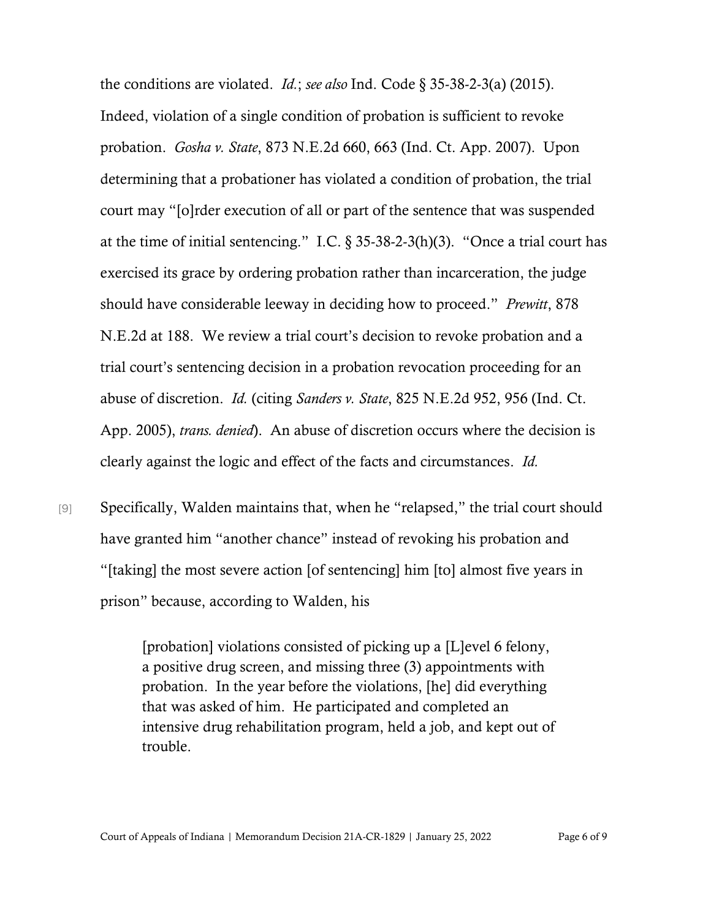the conditions are violated. *Id.*; *see also* Ind. Code § 35-38-2-3(a) (2015). Indeed, violation of a single condition of probation is sufficient to revoke probation. *Gosha v. State*, 873 N.E.2d 660, 663 (Ind. Ct. App. 2007). Upon determining that a probationer has violated a condition of probation, the trial court may "[o]rder execution of all or part of the sentence that was suspended at the time of initial sentencing." I.C.  $\S 35-38-2-3(h)(3)$ . "Once a trial court has exercised its grace by ordering probation rather than incarceration, the judge should have considerable leeway in deciding how to proceed." *Prewitt*, 878 N.E.2d at 188. We review a trial court's decision to revoke probation and a trial court's sentencing decision in a probation revocation proceeding for an abuse of discretion. *Id.* (citing *Sanders v. State*, 825 N.E.2d 952, 956 (Ind. Ct. App. 2005), *trans. denied*). An abuse of discretion occurs where the decision is clearly against the logic and effect of the facts and circumstances. *Id.*

[9] Specifically, Walden maintains that, when he "relapsed," the trial court should have granted him "another chance" instead of revoking his probation and "[taking] the most severe action [of sentencing] him [to] almost five years in prison" because, according to Walden, his

> [probation] violations consisted of picking up a [L]evel 6 felony, a positive drug screen, and missing three (3) appointments with probation. In the year before the violations, [he] did everything that was asked of him. He participated and completed an intensive drug rehabilitation program, held a job, and kept out of trouble.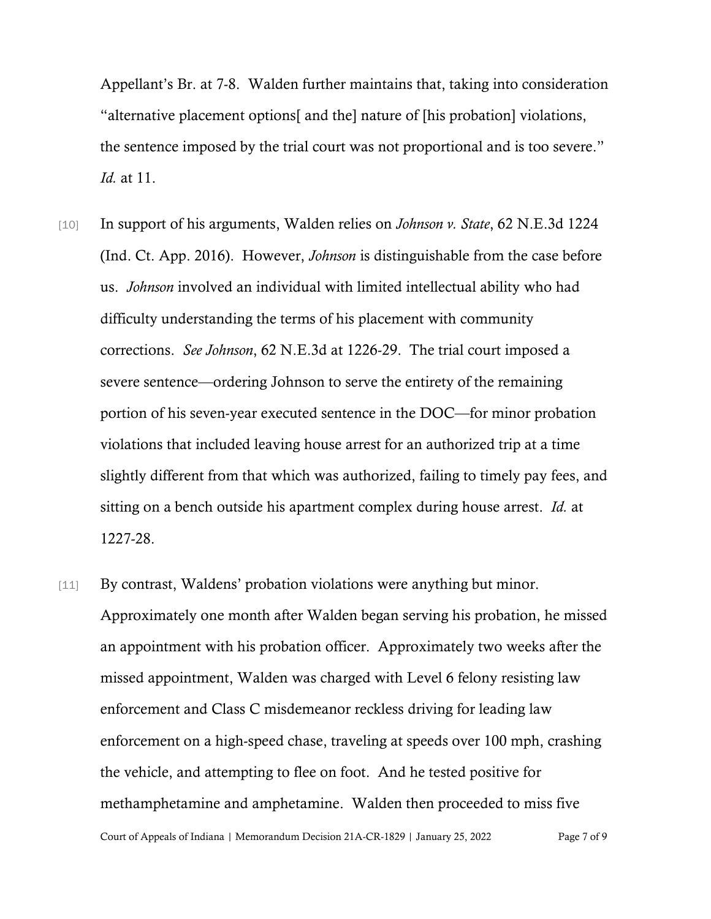Appellant's Br. at 7-8. Walden further maintains that, taking into consideration "alternative placement options[ and the] nature of [his probation] violations, the sentence imposed by the trial court was not proportional and is too severe." *Id.* at 11.

- [10] In support of his arguments, Walden relies on *Johnson v. State*, 62 N.E.3d 1224 (Ind. Ct. App. 2016). However, *Johnson* is distinguishable from the case before us. *Johnson* involved an individual with limited intellectual ability who had difficulty understanding the terms of his placement with community corrections. *See Johnson*, 62 N.E.3d at 1226-29. The trial court imposed a severe sentence—ordering Johnson to serve the entirety of the remaining portion of his seven-year executed sentence in the DOC—for minor probation violations that included leaving house arrest for an authorized trip at a time slightly different from that which was authorized, failing to timely pay fees, and sitting on a bench outside his apartment complex during house arrest. *Id.* at 1227-28.
- Court of Appeals of Indiana | Memorandum Decision 21A-CR-1829 | January 25, 2022 Page 7 of 9 [11] By contrast, Waldens' probation violations were anything but minor. Approximately one month after Walden began serving his probation, he missed an appointment with his probation officer. Approximately two weeks after the missed appointment, Walden was charged with Level 6 felony resisting law enforcement and Class C misdemeanor reckless driving for leading law enforcement on a high-speed chase, traveling at speeds over 100 mph, crashing the vehicle, and attempting to flee on foot. And he tested positive for methamphetamine and amphetamine. Walden then proceeded to miss five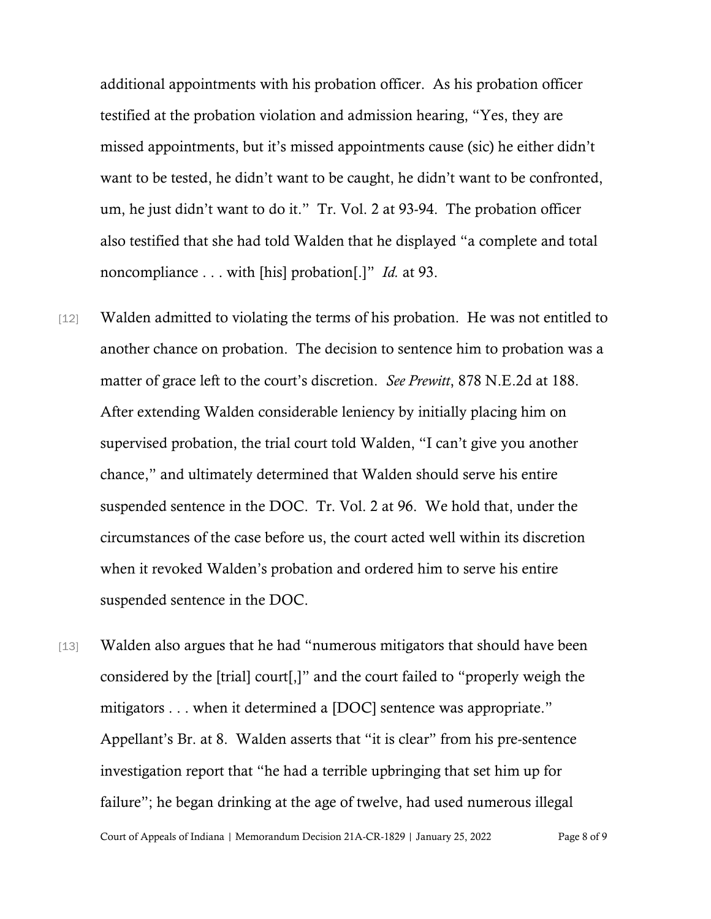additional appointments with his probation officer. As his probation officer testified at the probation violation and admission hearing, "Yes, they are missed appointments, but it's missed appointments cause (sic) he either didn't want to be tested, he didn't want to be caught, he didn't want to be confronted, um, he just didn't want to do it." Tr. Vol. 2 at 93-94. The probation officer also testified that she had told Walden that he displayed "a complete and total noncompliance . . . with [his] probation[.]" *Id.* at 93.

- [12] Walden admitted to violating the terms of his probation. He was not entitled to another chance on probation. The decision to sentence him to probation was a matter of grace left to the court's discretion. *See Prewitt*, 878 N.E.2d at 188. After extending Walden considerable leniency by initially placing him on supervised probation, the trial court told Walden, "I can't give you another chance," and ultimately determined that Walden should serve his entire suspended sentence in the DOC. Tr. Vol. 2 at 96. We hold that, under the circumstances of the case before us, the court acted well within its discretion when it revoked Walden's probation and ordered him to serve his entire suspended sentence in the DOC.
- [13] Walden also argues that he had "numerous mitigators that should have been considered by the [trial] court[,]" and the court failed to "properly weigh the mitigators . . . when it determined a [DOC] sentence was appropriate." Appellant's Br. at 8. Walden asserts that "it is clear" from his pre-sentence investigation report that "he had a terrible upbringing that set him up for failure"; he began drinking at the age of twelve, had used numerous illegal

Court of Appeals of Indiana | Memorandum Decision 21A-CR-1829 | January 25, 2022 Page 8 of 9